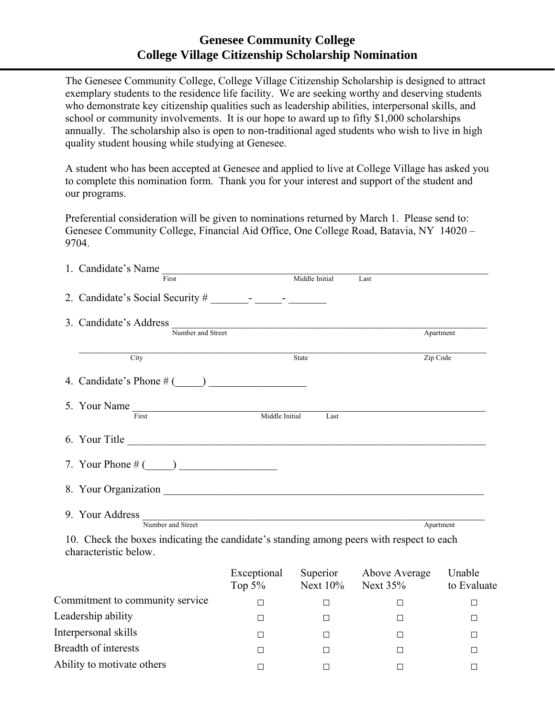## **Genesee Community College College Village Citizenship Scholarship Nomination**

The Genesee Community College, College Village Citizenship Scholarship is designed to attract exemplary students to the residence life facility. We are seeking worthy and deserving students who demonstrate key citizenship qualities such as leadership abilities, interpersonal skills, and school or community involvements. It is our hope to award up to fifty \$1,000 scholarships annually. The scholarship also is open to non-traditional aged students who wish to live in high quality student housing while studying at Genesee.

A student who has been accepted at Genesee and applied to live at College Village has asked you to complete this nomination form. Thank you for your interest and support of the student and our programs.

Preferential consideration will be given to nominations returned by March 1. Please send to: Genesee Community College, Financial Aid Office, One College Road, Batavia, NY 14020 – 9704.

| 1. Candidate's Name<br><u> 1989 - Andrea Albert II, am bhaile an t-</u> |                                                        |           |
|-------------------------------------------------------------------------|--------------------------------------------------------|-----------|
| First                                                                   | Middle Initial<br>Last                                 |           |
|                                                                         |                                                        |           |
|                                                                         |                                                        |           |
| 3. Candidate's Address                                                  | <u> 1980 - Antonio Alemania, politikar politikar (</u> |           |
| Number and Street                                                       |                                                        | Apartment |
|                                                                         |                                                        |           |
| City                                                                    | State                                                  | Zip Code  |
|                                                                         |                                                        |           |
| 5. Your Name                                                            |                                                        |           |
| First                                                                   | Middle Initial<br>Last                                 |           |
| 6. Your Title                                                           |                                                        |           |
|                                                                         |                                                        |           |
|                                                                         |                                                        |           |
|                                                                         |                                                        |           |
|                                                                         |                                                        |           |
| 9. Your Address<br>Number and Street                                    |                                                        | Apartment |
|                                                                         |                                                        |           |

10. Check the boxes indicating the candidate's standing among peers with respect to each characteristic below.

|                                 | Exceptional<br>Top $5\%$ | Superior<br>Next $10\%$ | Above Average<br>Next $35%$ | Unable<br>to Evaluate |
|---------------------------------|--------------------------|-------------------------|-----------------------------|-----------------------|
| Commitment to community service |                          |                         |                             |                       |
| Leadership ability              |                          |                         |                             |                       |
| Interpersonal skills            |                          |                         |                             |                       |
| Breadth of interests            |                          |                         |                             |                       |
| Ability to motivate others      |                          |                         | $\Box$                      |                       |